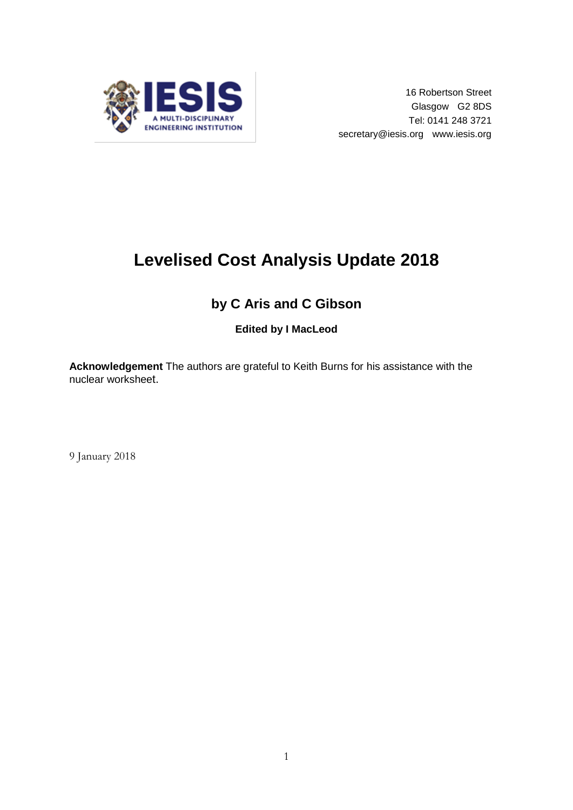

# **Levelised Cost Analysis Update 2018**

# **by C Aris and C Gibson**

**Edited by I MacLeod**

**Acknowledgement** The authors are grateful to Keith Burns for his assistance with the nuclear worksheet.

9 January 2018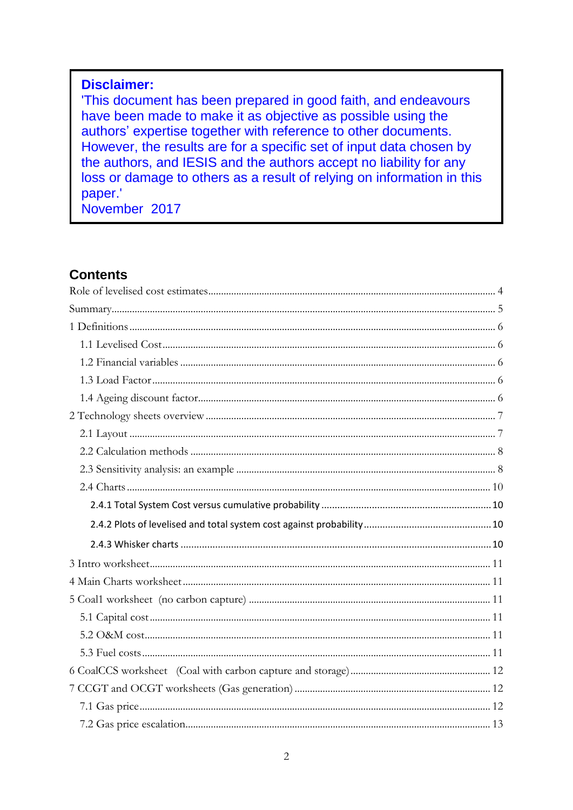### **Disclaimer:**

'This document has been prepared in good faith, and endeavours have been made to make it as objective as possible using the authors' expertise together with reference to other documents. However, the results are for a specific set of input data chosen by the authors, and IESIS and the authors accept no liability for any loss or damage to others as a result of relying on information in this paper.'

November 2017

### **Contents**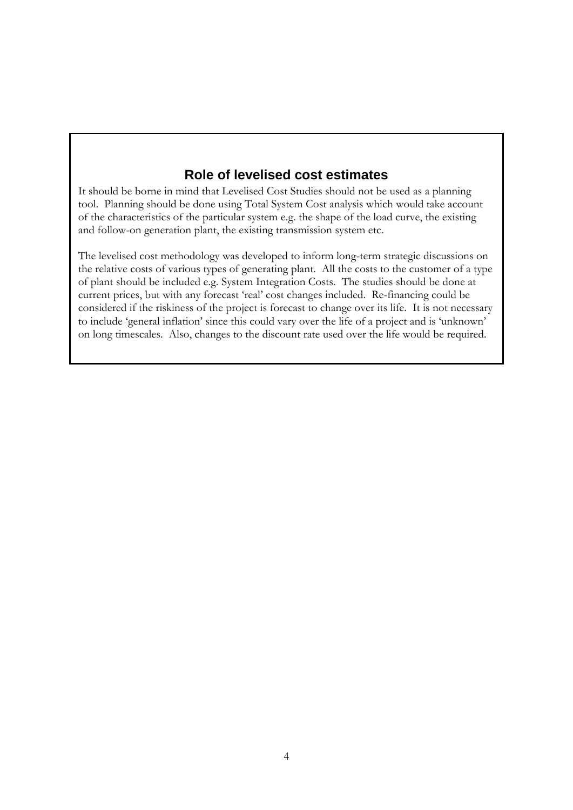### **Role of levelised cost estimates**

<span id="page-3-0"></span>It should be borne in mind that Levelised Cost Studies should not be used as a planning tool. Planning should be done using Total System Cost analysis which would take account of the characteristics of the particular system e.g. the shape of the load curve, the existing and follow-on generation plant, the existing transmission system etc.

The levelised cost methodology was developed to inform long-term strategic discussions on the relative costs of various types of generating plant. All the costs to the customer of a type of plant should be included e.g. System Integration Costs. The studies should be done at current prices, but with any forecast 'real' cost changes included. Re-financing could be considered if the riskiness of the project is forecast to change over its life. It is not necessary to include 'general inflation' since this could vary over the life of a project and is 'unknown' on long timescales. Also, changes to the discount rate used over the life would be required.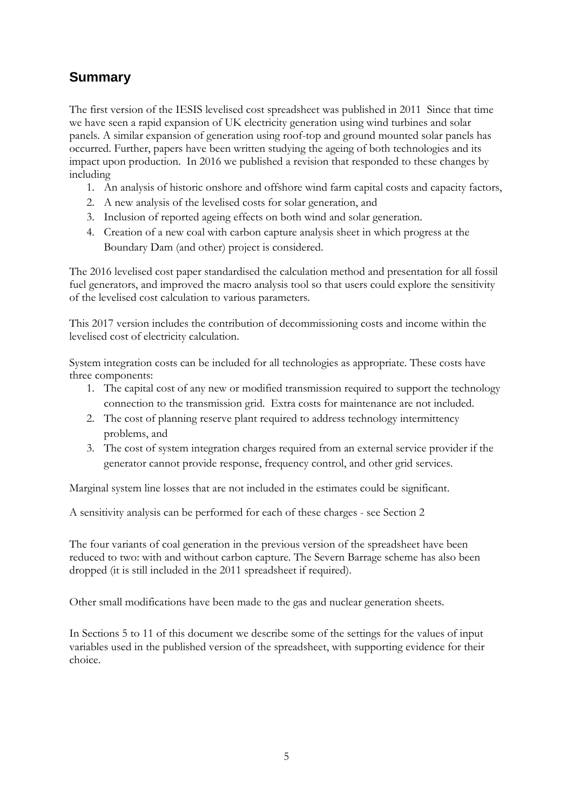# <span id="page-4-0"></span>**Summary**

The first version of the IESIS levelised cost spreadsheet was published in 2011 Since that time we have seen a rapid expansion of UK electricity generation using wind turbines and solar panels. A similar expansion of generation using roof-top and ground mounted solar panels has occurred. Further, papers have been written studying the ageing of both technologies and its impact upon production. In 2016 we published a revision that responded to these changes by including

- 1. An analysis of historic onshore and offshore wind farm capital costs and capacity factors,
- 2. A new analysis of the levelised costs for solar generation, and
- 3. Inclusion of reported ageing effects on both wind and solar generation.
- 4. Creation of a new coal with carbon capture analysis sheet in which progress at the Boundary Dam (and other) project is considered.

The 2016 levelised cost paper standardised the calculation method and presentation for all fossil fuel generators, and improved the macro analysis tool so that users could explore the sensitivity of the levelised cost calculation to various parameters.

This 2017 version includes the contribution of decommissioning costs and income within the levelised cost of electricity calculation.

System integration costs can be included for all technologies as appropriate. These costs have three components:

- 1. The capital cost of any new or modified transmission required to support the technology connection to the transmission grid. Extra costs for maintenance are not included.
- 2. The cost of planning reserve plant required to address technology intermittency problems, and
- 3. The cost of system integration charges required from an external service provider if the generator cannot provide response, frequency control, and other grid services.

Marginal system line losses that are not included in the estimates could be significant.

A sensitivity analysis can be performed for each of these charges - see Section 2

The four variants of coal generation in the previous version of the spreadsheet have been reduced to two: with and without carbon capture. The Severn Barrage scheme has also been dropped (it is still included in the 2011 spreadsheet if required).

Other small modifications have been made to the gas and nuclear generation sheets.

In Sections 5 to 11 of this document we describe some of the settings for the values of input variables used in the published version of the spreadsheet, with supporting evidence for their choice.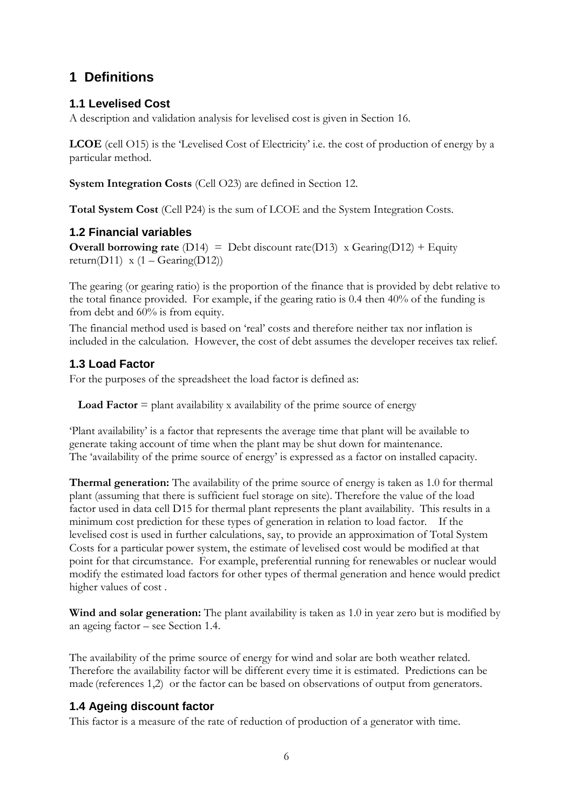# <span id="page-5-0"></span>**1 Definitions**

### <span id="page-5-1"></span>**1.1 Levelised Cost**

A description and validation analysis for levelised cost is given in Section 16.

**LCOE** (cell O15) is the 'Levelised Cost of Electricity' i.e. the cost of production of energy by a particular method.

**System Integration Costs** (Cell O23) are defined in Section 12.

**Total System Cost** (Cell P24) is the sum of LCOE and the System Integration Costs.

#### <span id="page-5-2"></span>**1.2 Financial variables**

**Overall borrowing rate** (D14) = Debt discount rate(D13) x Gearing(D12) + Equity return(D11) x  $(1 - \text{Gearing}(D12))$ 

The gearing (or gearing ratio) is the proportion of the finance that is provided by debt relative to the total finance provided. For example, if the gearing ratio is 0.4 then 40% of the funding is from debt and 60% is from equity.

The financial method used is based on 'real' costs and therefore neither tax nor inflation is included in the calculation. However, the cost of debt assumes the developer receives tax relief.

### <span id="page-5-3"></span>**1.3 Load Factor**

For the purposes of the spreadsheet the load factor is defined as:

**Load Factor**  $=$  plant availability x availability of the prime source of energy

'Plant availability' is a factor that represents the average time that plant will be available to generate taking account of time when the plant may be shut down for maintenance. The 'availability of the prime source of energy' is expressed as a factor on installed capacity.

**Thermal generation:** The availability of the prime source of energy is taken as 1.0 for thermal plant (assuming that there is sufficient fuel storage on site). Therefore the value of the load factor used in data cell D15 for thermal plant represents the plant availability. This results in a minimum cost prediction for these types of generation in relation to load factor. If the levelised cost is used in further calculations, say, to provide an approximation of Total System Costs for a particular power system, the estimate of levelised cost would be modified at that point for that circumstance. For example, preferential running for renewables or nuclear would modify the estimated load factors for other types of thermal generation and hence would predict higher values of cost .

**Wind and solar generation:** The plant availability is taken as 1.0 in year zero but is modified by an ageing factor – see Section 1.4.

The availability of the prime source of energy for wind and solar are both weather related. Therefore the availability factor will be different every time it is estimated. Predictions can be made (references 1,2) or the factor can be based on observations of output from generators.

### <span id="page-5-4"></span>**1.4 Ageing discount factor**

This factor is a measure of the rate of reduction of production of a generator with time.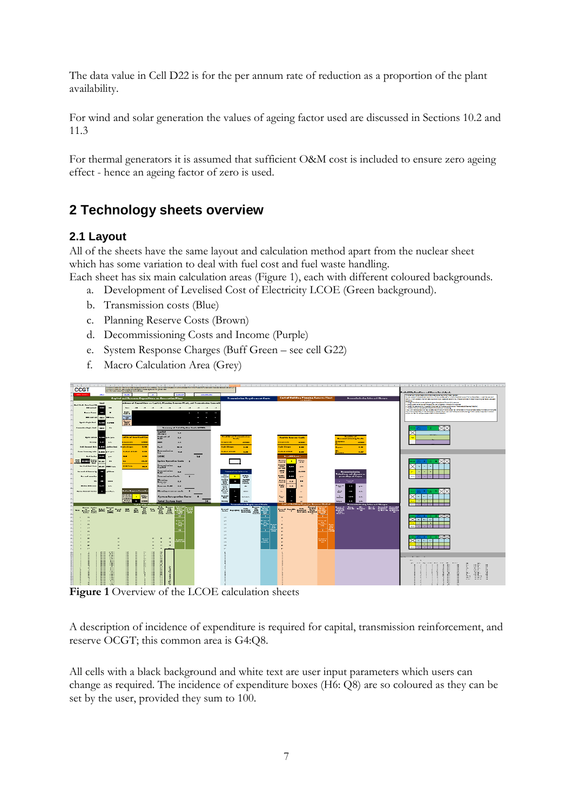The data value in Cell D22 is for the per annum rate of reduction as a proportion of the plant availability.

For wind and solar generation the values of ageing factor used are discussed in Sections 10.2 and 11.3

For thermal generators it is assumed that sufficient O&M cost is included to ensure zero ageing effect - hence an ageing factor of zero is used.

# <span id="page-6-0"></span>**2 Technology sheets overview**

### <span id="page-6-1"></span>**2.1 Layout**

All of the sheets have the same layout and calculation method apart from the nuclear sheet which has some variation to deal with fuel cost and fuel waste handling.

Each sheet has six main calculation areas (Figure 1), each with different coloured backgrounds.

- a. Development of Levelised Cost of Electricity LCOE (Green background).
- b. Transmission costs (Blue)
- c. Planning Reserve Costs (Brown)
- d. Decommissioning Costs and Income (Purple)
- e. System Response Charges (Buff Green see cell G22)
- f. Macro Calculation Area (Grey)



**Figure 1** Overview of the LCOE calculation sheets

A description of incidence of expenditure is required for capital, transmission reinforcement, and reserve OCGT; this common area is G4:Q8.

All cells with a black background and white text are user input parameters which users can change as required. The incidence of expenditure boxes (H6: Q8) are so coloured as they can be set by the user, provided they sum to 100.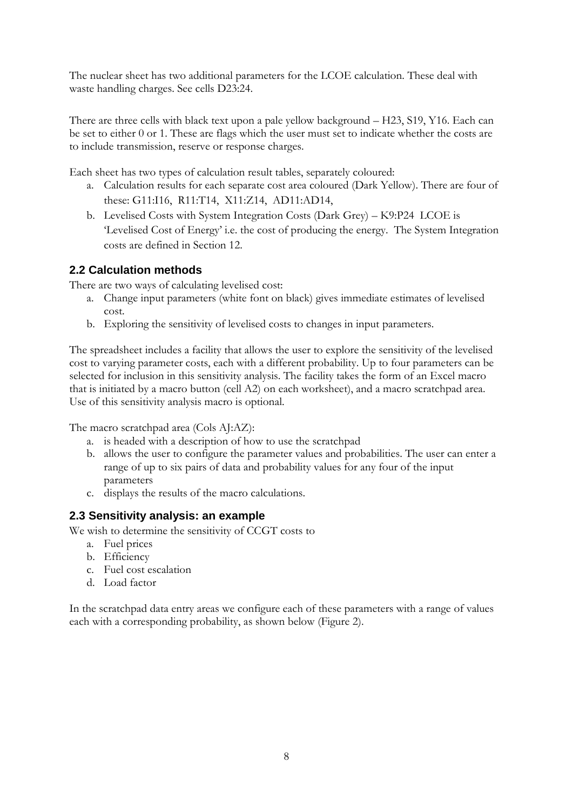The nuclear sheet has two additional parameters for the LCOE calculation. These deal with waste handling charges. See cells D23:24.

There are three cells with black text upon a pale yellow background – H23, S19, Y16. Each can be set to either 0 or 1. These are flags which the user must set to indicate whether the costs are to include transmission, reserve or response charges.

Each sheet has two types of calculation result tables, separately coloured:

- a. Calculation results for each separate cost area coloured (Dark Yellow). There are four of these: G11:I16, R11:T14, X11:Z14, AD11:AD14,
- b. Levelised Costs with System Integration Costs (Dark Grey) K9:P24 LCOE is 'Levelised Cost of Energy' i.e. the cost of producing the energy. The System Integration costs are defined in Section 12.

### <span id="page-7-0"></span>**2.2 Calculation methods**

There are two ways of calculating levelised cost:

- a. Change input parameters (white font on black) gives immediate estimates of levelised cost.
- b. Exploring the sensitivity of levelised costs to changes in input parameters.

The spreadsheet includes a facility that allows the user to explore the sensitivity of the levelised cost to varying parameter costs, each with a different probability. Up to four parameters can be selected for inclusion in this sensitivity analysis. The facility takes the form of an Excel macro that is initiated by a macro button (cell A2) on each worksheet), and a macro scratchpad area. Use of this sensitivity analysis macro is optional.

The macro scratchpad area (Cols AJ:AZ):

- a. is headed with a description of how to use the scratchpad
- b. allows the user to configure the parameter values and probabilities. The user can enter a range of up to six pairs of data and probability values for any four of the input parameters
- c. displays the results of the macro calculations.

#### <span id="page-7-1"></span>**2.3 Sensitivity analysis: an example**

We wish to determine the sensitivity of CCGT costs to

- a. Fuel prices
- b. Efficiency
- c. Fuel cost escalation
- d. Load factor

In the scratchpad data entry areas we configure each of these parameters with a range of values each with a corresponding probability, as shown below (Figure 2).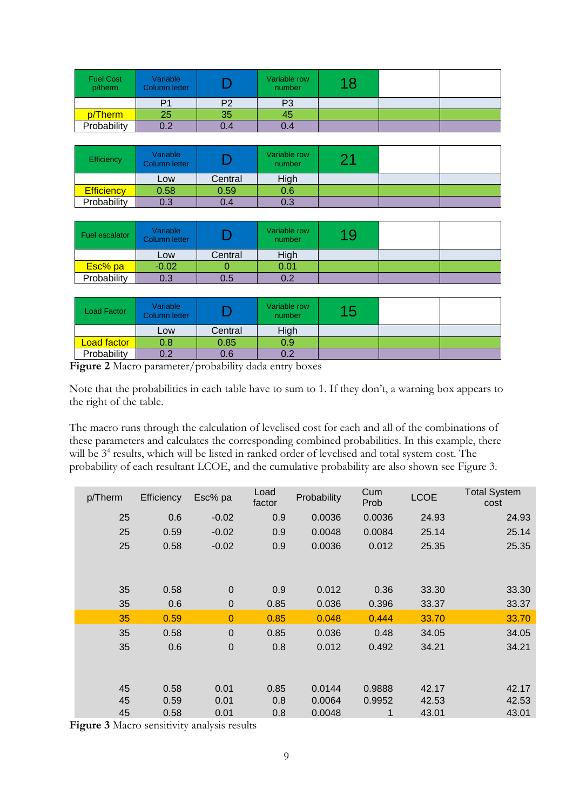| <b>Fuel Cost</b><br>p/therm | Variable<br>Column letter |     | Variable row<br>number |  |  |
|-----------------------------|---------------------------|-----|------------------------|--|--|
|                             | P1                        | P2  | P3                     |  |  |
| p/Therm                     | 25                        | 35  | 45                     |  |  |
| Probability                 | ∩ ∩<br>U.Z                | 0.4 | 0.4                    |  |  |

| Efficiency        | Variable<br>Column letter |         | Variable row<br>number | つ 4 |  |
|-------------------|---------------------------|---------|------------------------|-----|--|
|                   | Low                       | Central | High                   |     |  |
| <b>Efficiency</b> | 0.58                      | 0.59    | 0.6                    |     |  |
| Probability       | 0.3                       | 0.4     | 0.3                    |     |  |

| Fuel escalator | Variable<br>Column letter |         | Variable row<br>number | 19 |  |
|----------------|---------------------------|---------|------------------------|----|--|
|                | Low                       | Central | High                   |    |  |
| Esc% pa        | $-0.02$                   |         | 0.01                   |    |  |
| Probability    | 0.3                       | 0.5     | ሰ ?                    |    |  |

| Load Factor        | Variable<br><b>Column letter</b> |         | Variable row<br>number | 15 |  |
|--------------------|----------------------------------|---------|------------------------|----|--|
|                    | Low                              | Central | High                   |    |  |
| <b>Load factor</b> | 0.8                              | 0.85    | 0.9                    |    |  |
| Probability        | 0.2                              | 0.6     | ר ח                    |    |  |

Figure 2 Macro parameter/probability dada entry boxes

Note that the probabilities in each table have to sum to 1. If they don't, a warning box appears to the right of the table.

The macro runs through the calculation of levelised cost for each and all of the combinations of these parameters and calculates the corresponding combined probabilities. In this example, there will be 3<sup>4</sup> results, which will be listed in ranked order of levelised and total system cost. The probability of each resultant LCOE, and the cumulative probability are also shown see Figure 3.

| p/Therm | Efficiency | Esc% pa          | Load<br>factor | Probability | Cum<br>Prob | <b>LCOE</b> | <b>Total System</b><br>cost |
|---------|------------|------------------|----------------|-------------|-------------|-------------|-----------------------------|
| 25      | 0.6        | $-0.02$          | 0.9            | 0.0036      | 0.0036      | 24.93       | 24.93                       |
| 25      | 0.59       | $-0.02$          | 0.9            | 0.0048      | 0.0084      | 25.14       | 25.14                       |
| 25      | 0.58       | $-0.02$          | 0.9            | 0.0036      | 0.012       | 25.35       | 25.35                       |
|         |            |                  |                |             |             |             |                             |
|         |            |                  |                |             |             |             |                             |
| 35      | 0.58       | $\mathbf 0$      | 0.9            | 0.012       | 0.36        | 33.30       | 33.30                       |
| 35      | 0.6        | $\boldsymbol{0}$ | 0.85           | 0.036       | 0.396       | 33.37       | 33.37                       |
| 35      | 0.59       | $\overline{0}$   | 0.85           | 0.048       | 0.444       | 33.70       | 33.70                       |
| 35      | 0.58       | $\mathbf 0$      | 0.85           | 0.036       | 0.48        | 34.05       | 34.05                       |
| 35      | 0.6        | $\mathbf 0$      | 0.8            | 0.012       | 0.492       | 34.21       | 34.21                       |
|         |            |                  |                |             |             |             |                             |
|         |            |                  |                |             |             |             |                             |
| 45      | 0.58       | 0.01             | 0.85           | 0.0144      | 0.9888      | 42.17       | 42.17                       |
| 45      | 0.59       | 0.01             | 0.8            | 0.0064      | 0.9952      | 42.53       | 42.53                       |
| 45      | 0.58       | 0.01             | 0.8            | 0.0048      | 1           | 43.01       | 43.01                       |

**Figure 3** Macro sensitivity analysis results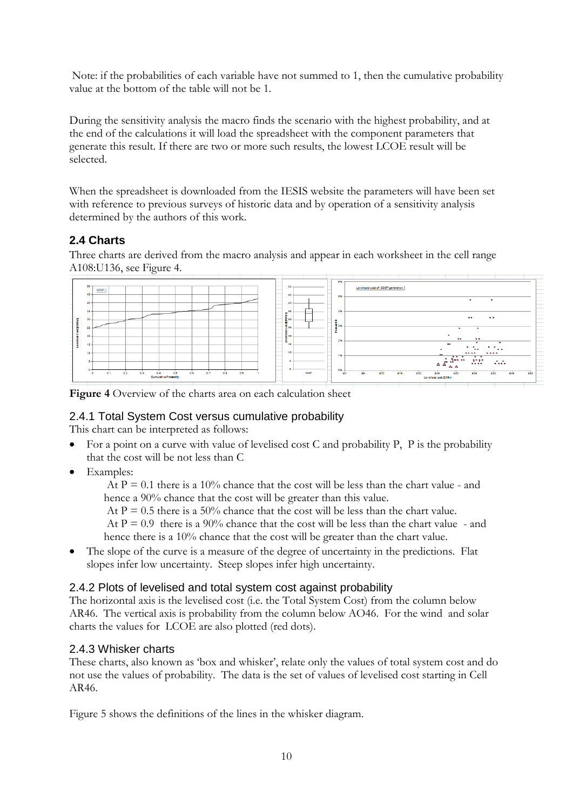Note: if the probabilities of each variable have not summed to 1, then the cumulative probability value at the bottom of the table will not be 1.

During the sensitivity analysis the macro finds the scenario with the highest probability, and at the end of the calculations it will load the spreadsheet with the component parameters that generate this result. If there are two or more such results, the lowest LCOE result will be selected.

When the spreadsheet is downloaded from the IESIS website the parameters will have been set with reference to previous surveys of historic data and by operation of a sensitivity analysis determined by the authors of this work.

### <span id="page-9-0"></span>**2.4 Charts**

Three charts are derived from the macro analysis and appear in each worksheet in the cell range A108:U136, see Figure 4.



**Figure 4** Overview of the charts area on each calculation sheet

### <span id="page-9-1"></span>2.4.1 Total System Cost versus cumulative probability

This chart can be interpreted as follows:

- For a point on a curve with value of levelised cost C and probability P,  $\overline{P}$  is the probability that the cost will be not less than C
- Examples:

At  $P = 0.1$  there is a 10% chance that the cost will be less than the chart value - and hence a 90% chance that the cost will be greater than this value.

At  $P = 0.5$  there is a 50% chance that the cost will be less than the chart value.

At  $P = 0.9$  there is a 90% chance that the cost will be less than the chart value - and hence there is a 10% chance that the cost will be greater than the chart value.

The slope of the curve is a measure of the degree of uncertainty in the predictions. Flat slopes infer low uncertainty. Steep slopes infer high uncertainty.

#### <span id="page-9-2"></span>2.4.2 Plots of levelised and total system cost against probability

The horizontal axis is the levelised cost (i.e. the Total System Cost) from the column below AR46. The vertical axis is probability from the column below AO46. For the wind and solar charts the values for LCOE are also plotted (red dots).

#### <span id="page-9-3"></span>2.4.3 Whisker charts

These charts, also known as 'box and whisker', relate only the values of total system cost and do not use the values of probability. The data is the set of values of levelised cost starting in Cell AR46.

Figure 5 shows the definitions of the lines in the whisker diagram.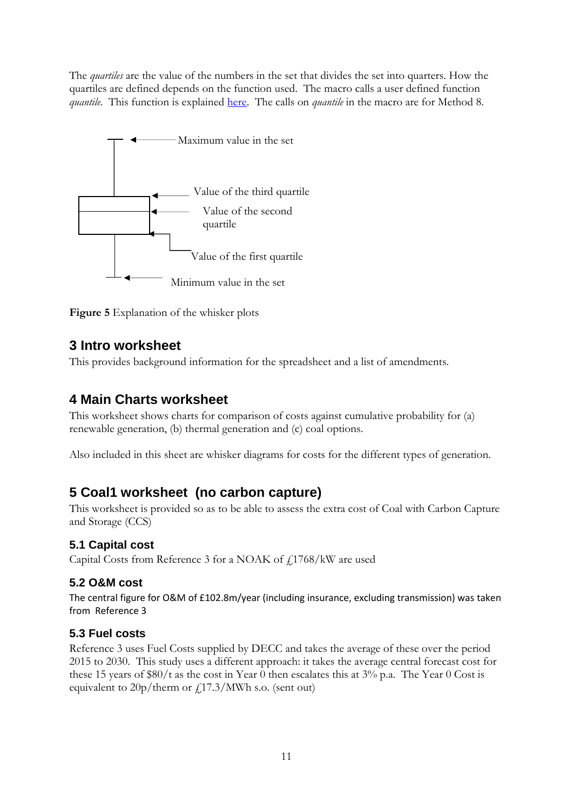The *quartiles* are the value of the numbers in the set that divides the set into quarters. How the quartiles are defined depends on the function used. The macro calls a user defined function *quantile.* This function is explained [here.](http://datapigtechnologies.com/blog/index.php/why-excel-has-multiple-quartile-functions-and-how-to-replicate-the-quartiles-from-r-and-other-statistical-packages/) The calls on *quantile* in the macro are for Method 8.



<span id="page-10-0"></span>

# **3 Intro worksheet**

<span id="page-10-1"></span>This provides background information for the spreadsheet and a list of amendments.

# **4 Main Charts worksheet**

This worksheet shows charts for comparison of costs against cumulative probability for (a) renewable generation, (b) thermal generation and (c) coal options.

<span id="page-10-2"></span>Also included in this sheet are whisker diagrams for costs for the different types of generation.

# **5 Coal1 worksheet (no carbon capture)**

This worksheet is provided so as to be able to assess the extra cost of Coal with Carbon Capture and Storage (CCS)

### <span id="page-10-3"></span>**5.1 Capital cost**

Capital Costs from Reference 3 for a NOAK of £1768/kW are used

### <span id="page-10-4"></span>**5.2 O&M cost**

The central figure for O&M of £102.8m/year (including insurance, excluding transmission) was taken from Reference 3

### <span id="page-10-5"></span>**5.3 Fuel costs**

Reference 3 uses Fuel Costs supplied by DECC and takes the average of these over the period 2015 to 2030. This study uses a different approach: it takes the average central forecast cost for these 15 years of \$80/t as the cost in Year 0 then escalates this at  $3\%$  p.a. The Year 0 Cost is equivalent to  $20p/\text{therm or } f(17.3)/\text{MWh}$  s.o. (sent out)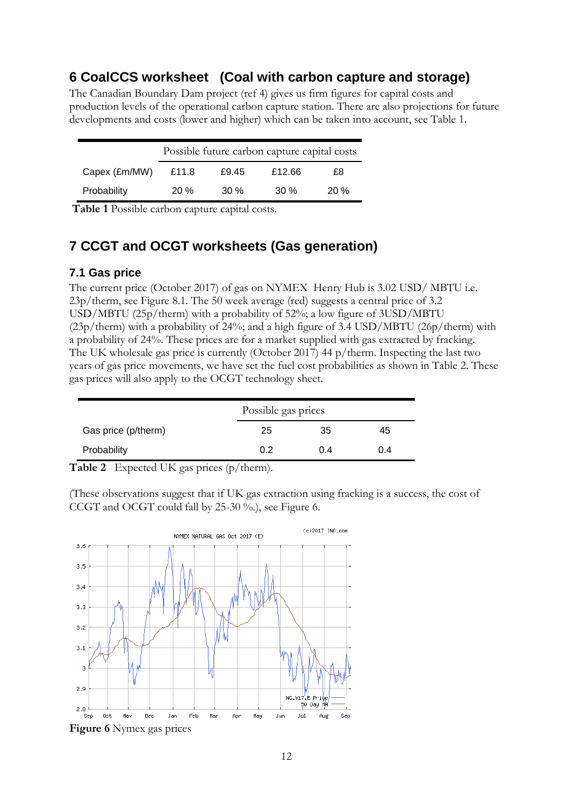# <span id="page-11-0"></span>**6 CoalCCS worksheet (Coal with carbon capture and storage)**

The Canadian Boundary Dam project (ref 4) gives us firm figures for capital costs and production levels of the operational carbon capture station. There are also projections for future developments and costs (lower and higher) which can be taken into account, see Table 1.

|               | Possible future carbon capture capital costs |        |        |     |  |  |  |
|---------------|----------------------------------------------|--------|--------|-----|--|--|--|
| Capex (£m/MW) | £11.8                                        | £9.45  | £12.66 | £8  |  |  |  |
| Probability   | $20\%$                                       | $30\%$ | $30\%$ | 20% |  |  |  |

<span id="page-11-1"></span>**Table 1** Possible carbon capture capital costs.

# **7 CCGT and OCGT worksheets (Gas generation)**

#### <span id="page-11-2"></span>**7.1 Gas price**

The current price (October 2017) of gas on NYMEX Henry Hub is 3.02 USD/ MBTU i.e. 23p/therm, see Figure 8.1. The 50 week average (red) suggests a central price of 3.2 USD/MBTU (25p/therm) with a probability of 52%; a low figure of 3USD/MBTU (23p/therm) with a probability of 24%; and a high figure of 3.4 USD/MBTU (26p/therm) with a probability of 24%. These prices are for a market supplied with gas extracted by fracking. The UK wholesale gas price is currently (October 2017) 44 p/therm. Inspecting the last two years of gas price movements, we have set the fuel cost probabilities as shown in Table 2. These gas prices will also apply to the OCGT technology sheet.

|                     | Possible gas prices |     |     |  |  |  |
|---------------------|---------------------|-----|-----|--|--|--|
| Gas price (p/therm) | 25                  | 35  | 45  |  |  |  |
| Probability         | 0.2                 | 0.4 | 0.4 |  |  |  |

**Table 2** Expected UK gas prices (p/therm).

(These observations suggest that if UK gas extraction using fracking is a success, the cost of CCGT and OCGT could fall by 25-30 %.), see Figure 6.

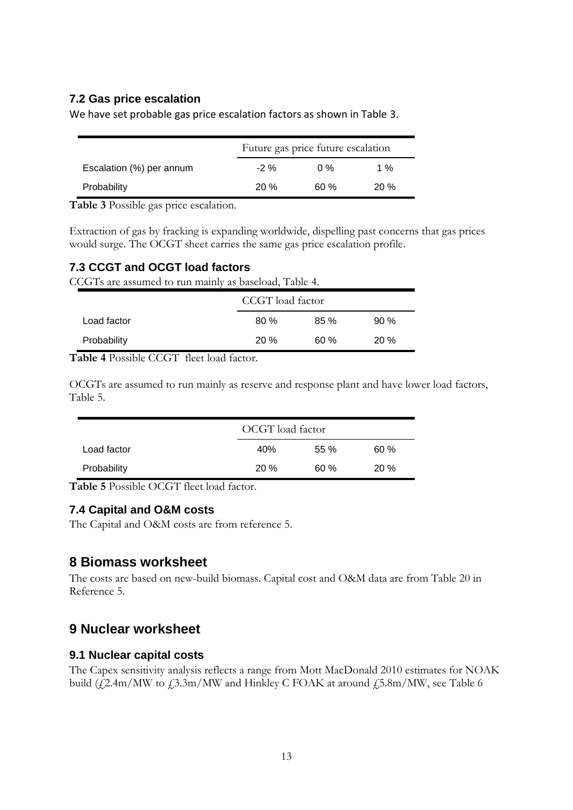### <span id="page-12-0"></span>**7.2 Gas price escalation**

We have set probable gas price escalation factors as shown in Table 3.

|                          |        | Future gas price future escalation |      |  |  |  |  |
|--------------------------|--------|------------------------------------|------|--|--|--|--|
| Escalation (%) per annum | $-2\%$ | 0%                                 | 1 %  |  |  |  |  |
| Probability              | 20 %   | 60 %                               | 20 % |  |  |  |  |

**Table 3** Possible gas price escalation.

Extraction of gas by fracking is expanding worldwide, dispelling past concerns that gas prices would surge. The OCGT sheet carries the same gas price escalation profile.

#### <span id="page-12-1"></span>**7.3 CCGT and OCGT load factors**

CCGTs are assumed to run mainly as baseload, Table 4.

|             | CCGT load factor |         |        |  |  |
|-------------|------------------|---------|--------|--|--|
| Load factor | 80%              | $85 \%$ | $90\%$ |  |  |
| Probability | 20%              | 60%     | 20%    |  |  |

**Table 4** Possible CCGT fleet load factor.

OCGTs are assumed to run mainly as reserve and response plant and have lower load factors, Table 5.

|             | OCGT load factor |     |     |  |  |  |
|-------------|------------------|-----|-----|--|--|--|
| Load factor | 40%              | 55% | 60% |  |  |  |
| Probability | 20%              | 60% | 20% |  |  |  |

**Table 5** Possible OCGT fleet load factor.

#### <span id="page-12-2"></span>**7.4 Capital and O&M costs**

<span id="page-12-3"></span>The Capital and O&M costs are from reference 5.

### **8 Biomass worksheet**

The costs are based on new-build biomass. Capital cost and O&M data are from Table 20 in Reference 5.

### <span id="page-12-4"></span>**9 Nuclear worksheet**

#### <span id="page-12-5"></span>**9.1 Nuclear capital costs**

The Capex sensitivity analysis reflects a range from Mott MacDonald 2010 estimates for NOAK build ( $\frac{1}{2}$ .4m/MW to  $\frac{1}{2}$ .3m/MW and Hinkley C FOAK at around  $\frac{1}{2}$ .5.8m/MW, see Table 6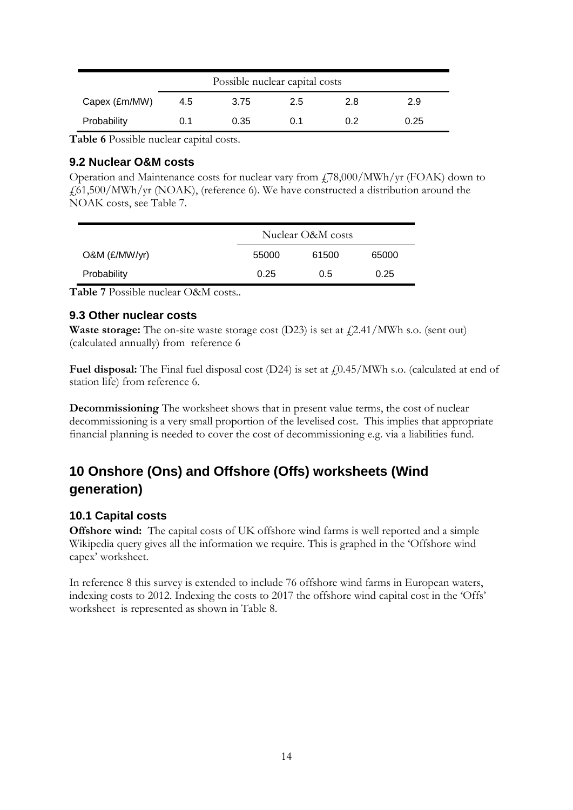| Possible nuclear capital costs |     |      |     |     |      |  |
|--------------------------------|-----|------|-----|-----|------|--|
| Capex (£m/MW)                  | 4.5 | 3.75 | 2.5 | 2.8 | 2.9  |  |
| Probability                    | 0.1 | 0.35 | 0.1 | በ 2 | 0.25 |  |

**Table 6** Possible nuclear capital costs.

#### <span id="page-13-0"></span>**9.2 Nuclear O&M costs**

Operation and Maintenance costs for nuclear vary from £78,000/MWh/yr (FOAK) down to £61,500/MWh/yr (NOAK), (reference 6). We have constructed a distribution around the NOAK costs, see Table 7.

|                 |       | Nuclear O&M costs |       |  |  |  |
|-----------------|-------|-------------------|-------|--|--|--|
| $O&M$ (£/MW/yr) | 55000 | 61500             | 65000 |  |  |  |
| Probability     | 0.25  | 0.5               | 0.25  |  |  |  |

**Table 7** Possible nuclear O&M costs..

#### <span id="page-13-1"></span>**9.3 Other nuclear costs**

**Waste storage:** The on-site waste storage cost (D23) is set at  $\frac{1}{2}$ .41/MWh s.o. (sent out) (calculated annually) from reference 6

**Fuel disposal:** The Final fuel disposal cost  $(D24)$  is set at  $f(0.45/MWh)$  s.o. (calculated at end of station life) from reference 6.

**Decommissioning** The worksheet shows that in present value terms, the cost of nuclear decommissioning is a very small proportion of the levelised cost. This implies that appropriate financial planning is needed to cover the cost of decommissioning e.g. via a liabilities fund.

# <span id="page-13-2"></span>**10 Onshore (Ons) and Offshore (Offs) worksheets (Wind generation)**

#### <span id="page-13-3"></span>**10.1 Capital costs**

**Offshore wind:** The capital costs of UK offshore wind farms is well reported and a simple Wikipedia query gives all the information we require. This is graphed in the 'Offshore wind capex' worksheet.

In reference 8 this survey is extended to include 76 offshore wind farms in European waters, indexing costs to 2012. Indexing the costs to 2017 the offshore wind capital cost in the 'Offs' worksheet is represented as shown in Table 8.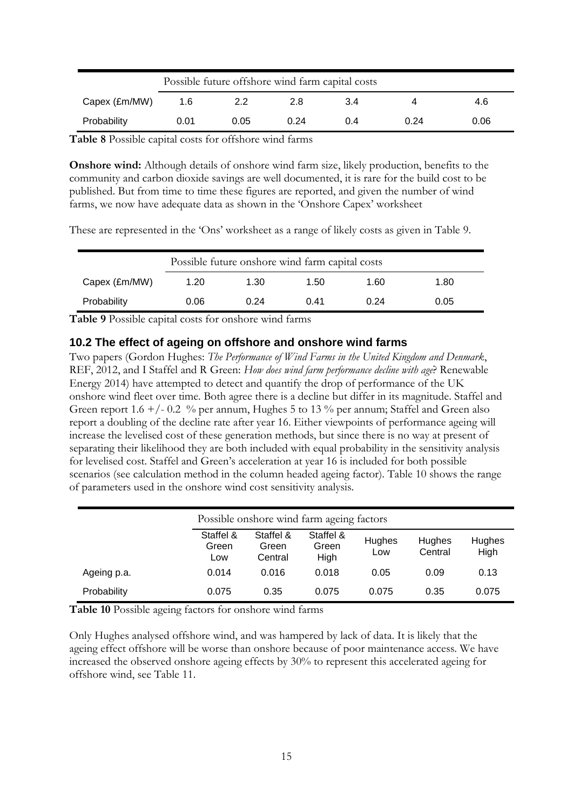| Possible future offshore wind farm capital costs |      |      |      |     |      |      |  |
|--------------------------------------------------|------|------|------|-----|------|------|--|
| Capex (£m/MW)                                    | 1.6  | 2.2  | 2.8  | 3.4 |      | 4.6  |  |
| Probability                                      | 0.01 | 0.05 | 0.24 | 0.4 | 0.24 | 0.06 |  |

**Table 8** Possible capital costs for offshore wind farms

**Onshore wind:** Although details of onshore wind farm size, likely production, benefits to the community and carbon dioxide savings are well documented, it is rare for the build cost to be published. But from time to time these figures are reported, and given the number of wind farms, we now have adequate data as shown in the 'Onshore Capex' worksheet

These are represented in the 'Ons' worksheet as a range of likely costs as given in Table 9.

|               | Possible future on shore wind farm capital costs |      |      |      |      |  |  |
|---------------|--------------------------------------------------|------|------|------|------|--|--|
| Capex (£m/MW) | 1.20                                             | 1.30 | 1.50 | 1.60 | 1.80 |  |  |
| Probability   | 0.06                                             | 0.24 | 0.41 | 0.24 | 0.05 |  |  |

**Table 9** Possible capital costs for onshore wind farms

#### <span id="page-14-0"></span>**10.2 The effect of ageing on offshore and onshore wind farms**

Two papers (Gordon Hughes: *The Performance of Wind Farms in the United Kingdom and Denmark*, REF, 2012, and I Staffel and R Green: *How does wind farm performance decline with age*? Renewable Energy 2014) have attempted to detect and quantify the drop of performance of the UK onshore wind fleet over time. Both agree there is a decline but differ in its magnitude. Staffel and Green report 1.6  $+/- 0.2$  % per annum, Hughes 5 to 13 % per annum; Staffel and Green also report a doubling of the decline rate after year 16. Either viewpoints of performance ageing will increase the levelised cost of these generation methods, but since there is no way at present of separating their likelihood they are both included with equal probability in the sensitivity analysis for levelised cost. Staffel and Green's acceleration at year 16 is included for both possible scenarios (see calculation method in the column headed ageing factor). Table 10 shows the range of parameters used in the onshore wind cost sensitivity analysis.

|             |                           | Possible on shore wind farm ageing factors |                            |               |                   |                |  |  |
|-------------|---------------------------|--------------------------------------------|----------------------------|---------------|-------------------|----------------|--|--|
|             | Staffel &<br>Green<br>Low | Staffel &<br>Green<br>Central              | Staffel &<br>Green<br>High | Hughes<br>Low | Hughes<br>Central | Hughes<br>High |  |  |
| Ageing p.a. | 0.014                     | 0.016                                      | 0.018                      | 0.05          | 0.09              | 0.13           |  |  |
| Probability | 0.075                     | 0.35                                       | 0.075                      | 0.075         | 0.35              | 0.075          |  |  |

**Table 10** Possible ageing factors for onshore wind farms

Only Hughes analysed offshore wind, and was hampered by lack of data. It is likely that the ageing effect offshore will be worse than onshore because of poor maintenance access. We have increased the observed onshore ageing effects by 30% to represent this accelerated ageing for offshore wind, see Table 11.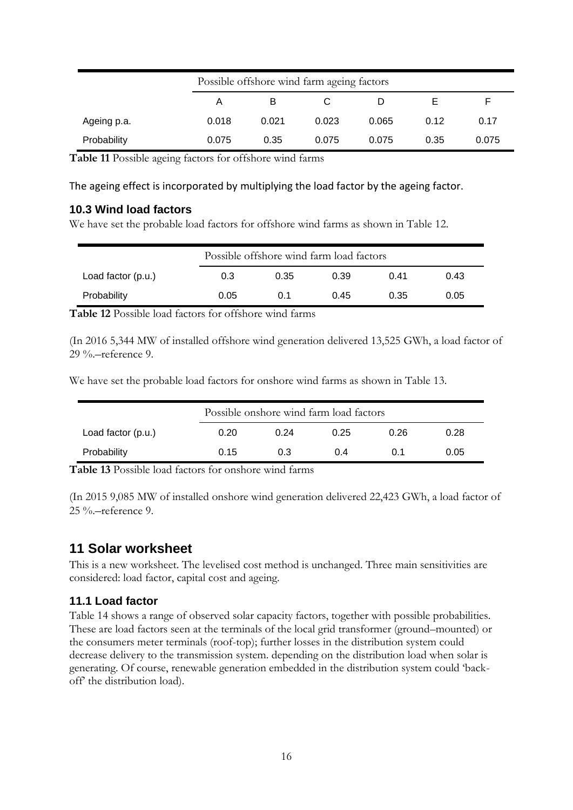| Possible offshore wind farm ageing factors |       |       |       |       |      |       |
|--------------------------------------------|-------|-------|-------|-------|------|-------|
|                                            | Α     | B     |       |       |      | F     |
| Ageing p.a.                                | 0.018 | 0.021 | 0.023 | 0.065 | 0.12 | 0.17  |
| Probability                                | 0.075 | 0.35  | 0.075 | 0.075 | 0.35 | 0.075 |

**Table 11** Possible ageing factors for offshore wind farms

#### The ageing effect is incorporated by multiplying the load factor by the ageing factor.

#### <span id="page-15-0"></span>**10.3 Wind load factors**

We have set the probable load factors for offshore wind farms as shown in Table 12.

|                      | Possible offshore wind farm load factors |      |      |      |      |  |
|----------------------|------------------------------------------|------|------|------|------|--|
| Load factor $(p.u.)$ | 0.3                                      | 0.35 | 0.39 | 0.41 | 0.43 |  |
| Probability          | 0.05                                     | 0.1  | 0.45 | 0.35 | 0.05 |  |

**Table 12** Possible load factors for offshore wind farms

(In 2016 5,344 MW of installed offshore wind generation delivered 13,525 GWh, a load factor of 29 %.–reference 9.

We have set the probable load factors for onshore wind farms as shown in Table 13.

| Possible onshore wind farm load factors |      |      |      |      |      |  |
|-----------------------------------------|------|------|------|------|------|--|
| Load factor $(p.u.)$                    | 0.20 | በ 24 | 0.25 | 0.26 | 0.28 |  |
| Probability                             | 0.15 | 0.3  | በ 4  | O 1  | 0.05 |  |

**Table 13** Possible load factors for onshore wind farms

(In 2015 9,085 MW of installed onshore wind generation delivered 22,423 GWh, a load factor of 25 %.–reference 9.

# <span id="page-15-1"></span>**11 Solar worksheet**

This is a new worksheet. The levelised cost method is unchanged. Three main sensitivities are considered: load factor, capital cost and ageing.

### <span id="page-15-2"></span>**11.1 Load factor**

Table 14 shows a range of observed solar capacity factors, together with possible probabilities. These are load factors seen at the terminals of the local grid transformer (ground–mounted) or the consumers meter terminals (roof-top); further losses in the distribution system could decrease delivery to the transmission system. depending on the distribution load when solar is generating. Of course, renewable generation embedded in the distribution system could 'backoff' the distribution load).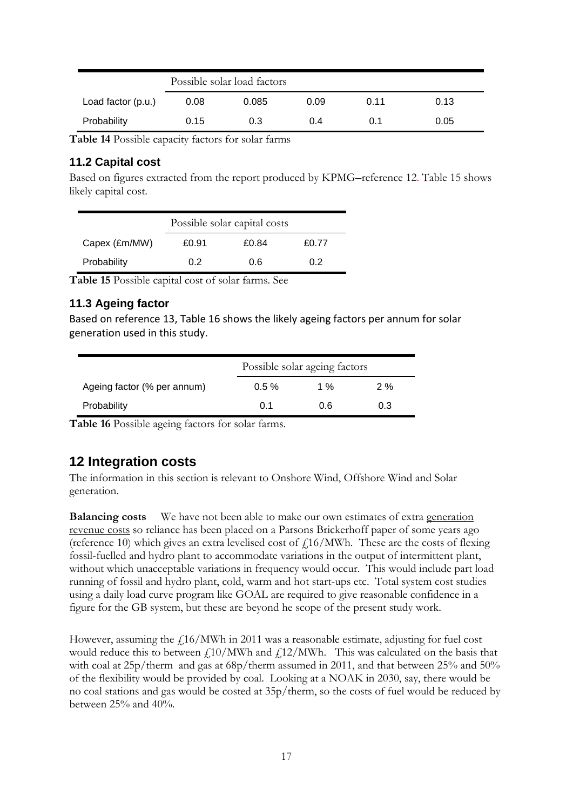|                    | Possible solar load factors |       |      |      |      |
|--------------------|-----------------------------|-------|------|------|------|
| Load factor (p.u.) | 0.08                        | 0.085 | 0.09 | 0.11 | 0.13 |
| Probability        | 0.15                        | 0.3   | 0.4  | 0.1  | 0.05 |

**Table 14** Possible capacity factors for solar farms

#### <span id="page-16-0"></span>**11.2 Capital cost**

Based on figures extracted from the report produced by KPMG–reference 12. Table 15 shows likely capital cost.

|               | Possible solar capital costs |       |       |  |  |
|---------------|------------------------------|-------|-------|--|--|
| Capex (£m/MW) | £0.91                        | £0.84 | £0.77 |  |  |
| Probability   | 0 2                          | 0.6   | 0.2   |  |  |

**Table 15** Possible capital cost of solar farms. See

#### <span id="page-16-1"></span>**11.3 Ageing factor**

Based on reference 13, Table 16 shows the likely ageing factors per annum for solar generation used in this study.

|                             |          | Possible solar ageing factors |     |  |  |  |
|-----------------------------|----------|-------------------------------|-----|--|--|--|
| Ageing factor (% per annum) | $0.5 \%$ | 1 %                           | 2%  |  |  |  |
| Probability                 | 0 1      | 0 R                           | 0.3 |  |  |  |

<span id="page-16-2"></span>**Table 16** Possible ageing factors for solar farms.

# **12 Integration costs**

The information in this section is relevant to Onshore Wind, Offshore Wind and Solar generation.

**Balancing costs** We have not been able to make our own estimates of extra generation revenue costs so reliance has been placed on a Parsons Brickerhoff paper of some years ago (reference 10) which gives an extra levelised cost of  $f_{1.16}/MWh$ . These are the costs of flexing fossil-fuelled and hydro plant to accommodate variations in the output of intermittent plant, without which unacceptable variations in frequency would occur. This would include part load running of fossil and hydro plant, cold, warm and hot start-ups etc. Total system cost studies using a daily load curve program like GOAL are required to give reasonable confidence in a figure for the GB system, but these are beyond he scope of the present study work.

However, assuming the  $\frac{\mu}{16}$  MWh in 2011 was a reasonable estimate, adjusting for fuel cost would reduce this to between  $\frac{\ln(10)}{N}$  and  $\frac{\ln(12)}{N}$ . This was calculated on the basis that with coal at 25p/therm and gas at 68p/therm assumed in 2011, and that between 25% and 50% of the flexibility would be provided by coal. Looking at a NOAK in 2030, say, there would be no coal stations and gas would be costed at 35p/therm, so the costs of fuel would be reduced by between 25% and 40%.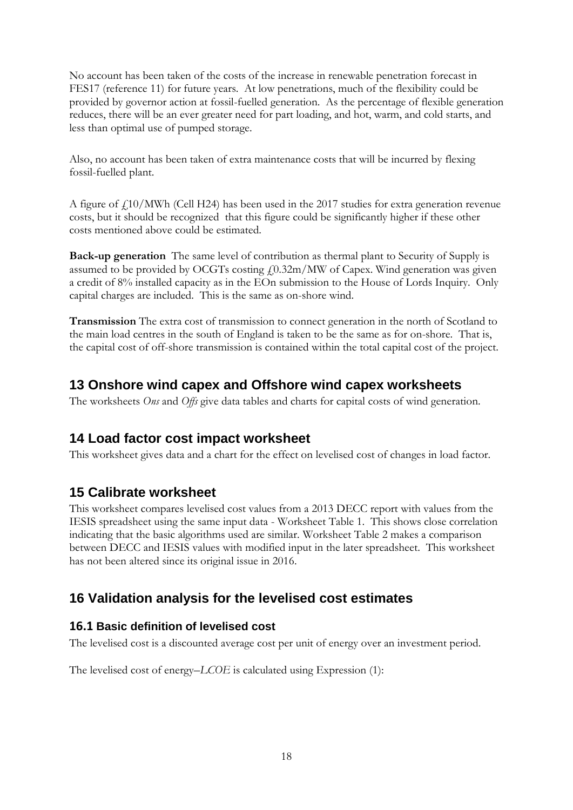No account has been taken of the costs of the increase in renewable penetration forecast in FES17 (reference 11) for future years. At low penetrations, much of the flexibility could be provided by governor action at fossil-fuelled generation. As the percentage of flexible generation reduces, there will be an ever greater need for part loading, and hot, warm, and cold starts, and less than optimal use of pumped storage.

Also, no account has been taken of extra maintenance costs that will be incurred by flexing fossil-fuelled plant.

A figure of  $f<sub>10</sub>/MWh$  (Cell H24) has been used in the 2017 studies for extra generation revenue costs, but it should be recognized that this figure could be significantly higher if these other costs mentioned above could be estimated.

**Back-up generation** The same level of contribution as thermal plant to Security of Supply is assumed to be provided by OCGTs costing  $f(0.32\text{m}/\text{MW})$  of Capex. Wind generation was given a credit of 8% installed capacity as in the EOn submission to the House of Lords Inquiry. Only capital charges are included. This is the same as on-shore wind.

**Transmission** The extra cost of transmission to connect generation in the north of Scotland to the main load centres in the south of England is taken to be the same as for on-shore. That is, the capital cost of off-shore transmission is contained within the total capital cost of the project.

# <span id="page-17-0"></span>**13 Onshore wind capex and Offshore wind capex worksheets**

<span id="page-17-1"></span>The worksheets *Ons* and *Offs* give data tables and charts for capital costs of wind generation.

### **14 Load factor cost impact worksheet**

<span id="page-17-2"></span>This worksheet gives data and a chart for the effect on levelised cost of changes in load factor.

# **15 Calibrate worksheet**

This worksheet compares levelised cost values from a 2013 DECC report with values from the IESIS spreadsheet using the same input data - Worksheet Table 1. This shows close correlation indicating that the basic algorithms used are similar. Worksheet Table 2 makes a comparison between DECC and IESIS values with modified input in the later spreadsheet. This worksheet has not been altered since its original issue in 2016.

# <span id="page-17-3"></span>**16 Validation analysis for the levelised cost estimates**

### <span id="page-17-4"></span>**16.1 Basic definition of levelised cost**

The levelised cost is a discounted average cost per unit of energy over an investment period.

The levelised cost of energy–*LCOE* is calculated using Expression (1):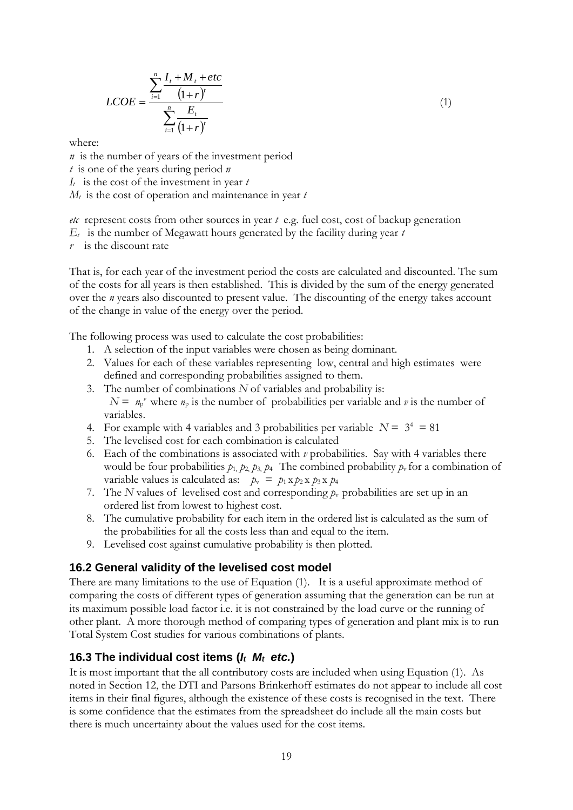$$
LCOE = \frac{\sum_{i=1}^{n} \frac{I_{t} + M_{t} + etc}{(1+r)^{t}}}{\sum_{i=1}^{n} \frac{E_{t}}{(1+r)^{t}}}
$$
(1)

where:

*n* is the number of years of the investment period *t* is one of the years during period *n I<sup>t</sup>* is the cost of the investment in year *t M<sup>t</sup>* is the cost of operation and maintenance in year *t*

*etc* represent costs from other sources in year *t* e.g. fuel cost, cost of backup generation

 $E_t$  is the number of Megawatt hours generated by the facility during year  $t$ 

*r* is the discount rate

That is, for each year of the investment period the costs are calculated and discounted. The sum of the costs for all years is then established. This is divided by the sum of the energy generated over the *n* years also discounted to present value. The discounting of the energy takes account of the change in value of the energy over the period.

The following process was used to calculate the cost probabilities:

- 1. A selection of the input variables were chosen as being dominant.
- 2. Values for each of these variables representing low, central and high estimates were defined and corresponding probabilities assigned to them.
- 3. The number of combinations *N* of variables and probability is:  $N = n_p^{\nu}$  where  $n_p$  is the number of probabilities per variable and  $\nu$  is the number of variables.
- 4. For example with 4 variables and 3 probabilities per variable  $N = 3^4 = 81$
- 5. The levelised cost for each combination is calculated
- 6. Each of the combinations is associated with *v* probabilities. Say with 4 variables there would be four probabilities  $p_1$ ,  $p_2$ ,  $p_3$ ,  $p_4$ . The combined probability  $p_v$  for a combination of variable values is calculated as:  $p_v = p_1 x p_2 x p_3 x p_4$
- 7. The *N* values of levelised cost and corresponding  $p_v$  probabilities are set up in an ordered list from lowest to highest cost.
- 8. The cumulative probability for each item in the ordered list is calculated as the sum of the probabilities for all the costs less than and equal to the item.
- 9. Levelised cost against cumulative probability is then plotted.

#### <span id="page-18-0"></span>**16.2 General validity of the levelised cost model**

There are many limitations to the use of Equation (1). It is a useful approximate method of comparing the costs of different types of generation assuming that the generation can be run at its maximum possible load factor i.e. it is not constrained by the load curve or the running of other plant. A more thorough method of comparing types of generation and plant mix is to run Total System Cost studies for various combinations of plants.

#### <span id="page-18-1"></span>**16.3 The individual cost items (***It Mt etc.***)**

 $(1+r)^{t}$ <br>  $E_{t}$ <br>  $(1+r)^{t}$ <br>  $E_{t}$ <br>
(1+r)<sup>†</sup><br>
so f the investment period *n*<br>
stiment in year *t*<br>
on and maintenance in year the other sources in year *t* e.<br>
gawatt hours generated b<br>
the investment period the<br>
is the It is most important that the all contributory costs are included when using Equation (1). As noted in Section 12, the DTI and Parsons Brinkerhoff estimates do not appear to include all cost items in their final figures, although the existence of these costs is recognised in the text. There is some confidence that the estimates from the spreadsheet do include all the main costs but there is much uncertainty about the values used for the cost items.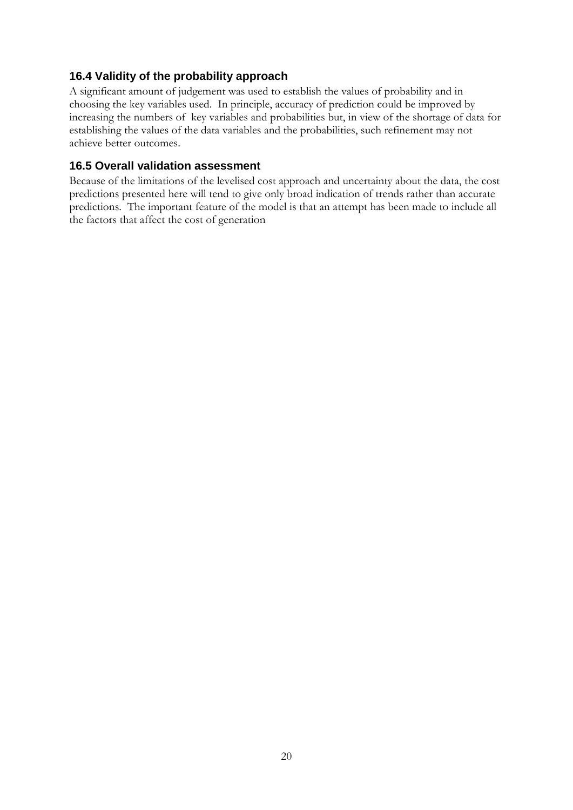#### <span id="page-19-0"></span>**16.4 Validity of the probability approach**

A significant amount of judgement was used to establish the values of probability and in choosing the key variables used. In principle, accuracy of prediction could be improved by increasing the numbers of key variables and probabilities but, in view of the shortage of data for establishing the values of the data variables and the probabilities, such refinement may not achieve better outcomes.

#### <span id="page-19-1"></span>**16.5 Overall validation assessment**

Because of the limitations of the levelised cost approach and uncertainty about the data, the cost predictions presented here will tend to give only broad indication of trends rather than accurate predictions. The important feature of the model is that an attempt has been made to include all the factors that affect the cost of generation